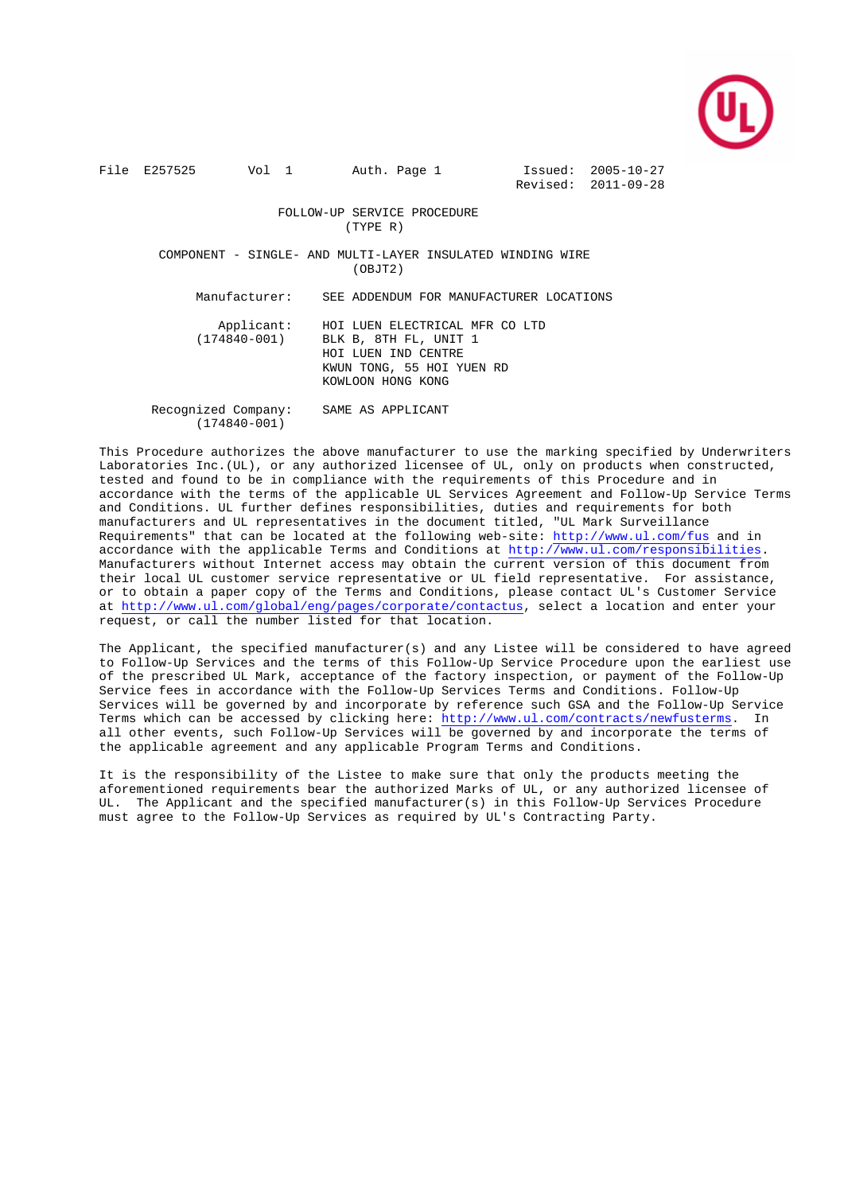

File E257525 Vol 1 Auth. Page 1 Issued: 2005-10-27

Revised: 2011-09-28

 FOLLOW-UP SERVICE PROCEDURE (TYPE R)

 COMPONENT - SINGLE- AND MULTI-LAYER INSULATED WINDING WIRE  $(OBJT2)$ 

Manufacturer: SEE ADDENDUM FOR MANUFACTURER LOCATIONS

Applicant: HOI LUEN ELECTRICAL MFR CO LTD<br>(174840-001) RLK B 8TH FL. UNIT 1 (174840-001) BLK B, 8TH FL, UNIT 1 HOI LUEN IND CENTRE KWUN TONG, 55 HOI YUEN RD KOWLOON HONG KONG

 Recognized Company: SAME AS APPLICANT (174840-001)

This Procedure authorizes the above manufacturer to use the marking specified by Underwriters Laboratories Inc.(UL), or any authorized licensee of UL, only on products when constructed, tested and found to be in compliance with the requirements of this Procedure and in accordance with the terms of the applicable UL Services Agreement and Follow-Up Service Terms and Conditions. UL further defines responsibilities, duties and requirements for both manufacturers and UL representatives in the document titled, "UL Mark Surveillance Requirements" that can be located at the following web-site: http://www.ul.com/fus and in accordance with the applicable Terms and Conditions at http://www.ul.com/responsibilities. Manufacturers without Internet access may obtain the current version of this document from their local UL customer service representative or UL field representative. For assistance, or to obtain a paper copy of the Terms and Conditions, please contact UL's Customer Service at http://www.ul.com/global/eng/pages/corporate/contactus, select a location and enter your request, or call the number listed for that location.

The Applicant, the specified manufacturer(s) and any Listee will be considered to have agreed to Follow-Up Services and the terms of this Follow-Up Service Procedure upon the earliest use of the prescribed UL Mark, acceptance of the factory inspection, or payment of the Follow-Up Service fees in accordance with the Follow-Up Services Terms and Conditions. Follow-Up Services will be governed by and incorporate by reference such GSA and the Follow-Up Service Terms which can be accessed by clicking here: http://www.ul.com/contracts/newfusterms. In all other events, such Follow-Up Services will be governed by and incorporate the terms of the applicable agreement and any applicable Program Terms and Conditions.

It is the responsibility of the Listee to make sure that only the products meeting the aforementioned requirements bear the authorized Marks of UL, or any authorized licensee of UL. The Applicant and the specified manufacturer(s) in this Follow-Up Services Procedure must agree to the Follow-Up Services as required by UL's Contracting Party.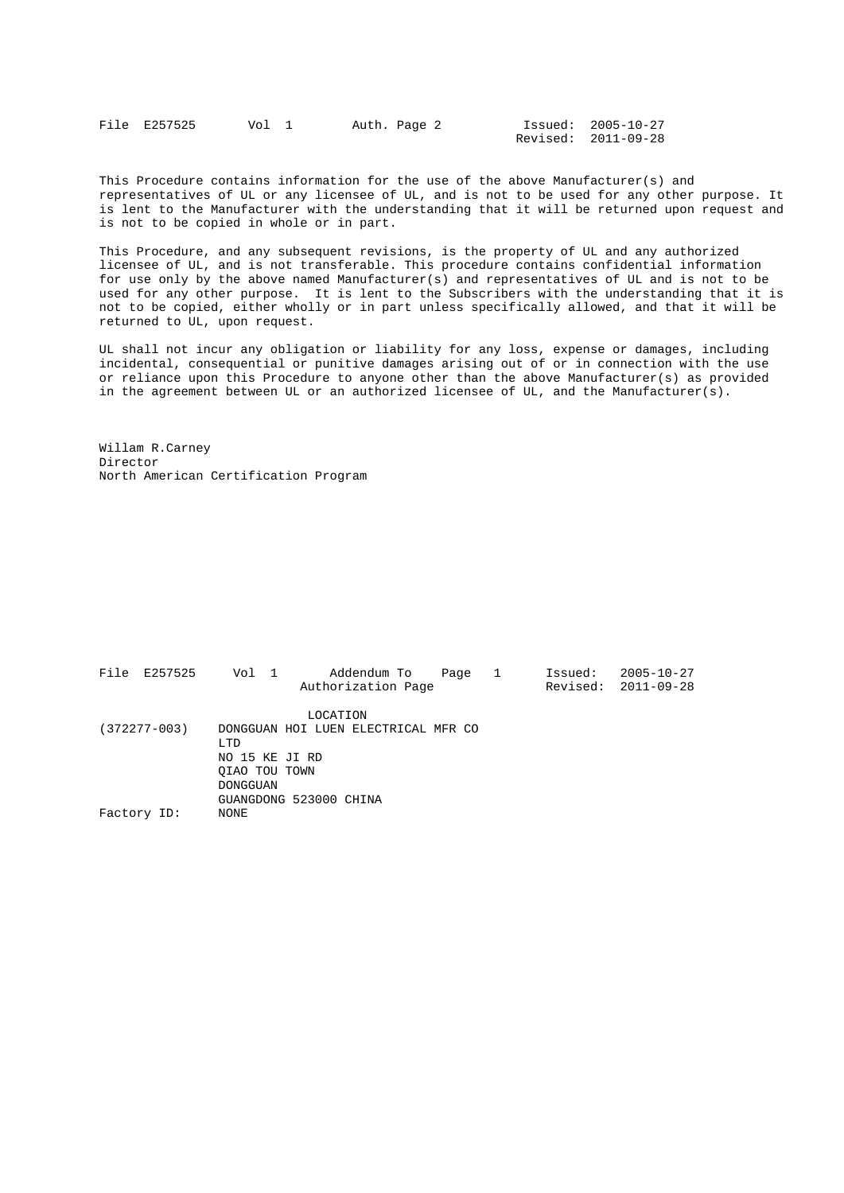| File E257525 | Vol 1 | Auth. Page 2 |  | Issued: 2005-10-27  |
|--------------|-------|--------------|--|---------------------|
|              |       |              |  | Revised: 2011-09-28 |

This Procedure contains information for the use of the above Manufacturer(s) and representatives of UL or any licensee of UL, and is not to be used for any other purpose. It is lent to the Manufacturer with the understanding that it will be returned upon request and is not to be copied in whole or in part.

This Procedure, and any subsequent revisions, is the property of UL and any authorized licensee of UL, and is not transferable. This procedure contains confidential information for use only by the above named Manufacturer(s) and representatives of UL and is not to be used for any other purpose. It is lent to the Subscribers with the understanding that it is not to be copied, either wholly or in part unless specifically allowed, and that it will be returned to UL, upon request.

UL shall not incur any obligation or liability for any loss, expense or damages, including incidental, consequential or punitive damages arising out of or in connection with the use or reliance upon this Procedure to anyone other than the above Manufacturer(s) as provided in the agreement between UL or an authorized licensee of UL, and the Manufacturer(s).

Willam R.Carney Director North American Certification Program

|                  | File E257525 | Vol 1           |                                     | Addendum To        | Page |  | Issued: | $2005 - 10 - 27$          |
|------------------|--------------|-----------------|-------------------------------------|--------------------|------|--|---------|---------------------------|
|                  |              |                 |                                     | Authorization Page |      |  |         | Revised: $2011 - 09 - 28$ |
|                  |              |                 | LOCATION                            |                    |      |  |         |                           |
| $(372277 - 003)$ |              |                 | DONGGUAN HOI LUEN ELECTRICAL MFR CO |                    |      |  |         |                           |
|                  |              | LTD             |                                     |                    |      |  |         |                           |
|                  |              | NO 15 KE JI RD  |                                     |                    |      |  |         |                           |
|                  |              | OIAO TOU TOWN   |                                     |                    |      |  |         |                           |
|                  |              | <b>DONGGUAN</b> |                                     |                    |      |  |         |                           |
|                  |              |                 | GUANGDONG 523000 CHINA              |                    |      |  |         |                           |
| Factory ID:      |              | NONE            |                                     |                    |      |  |         |                           |